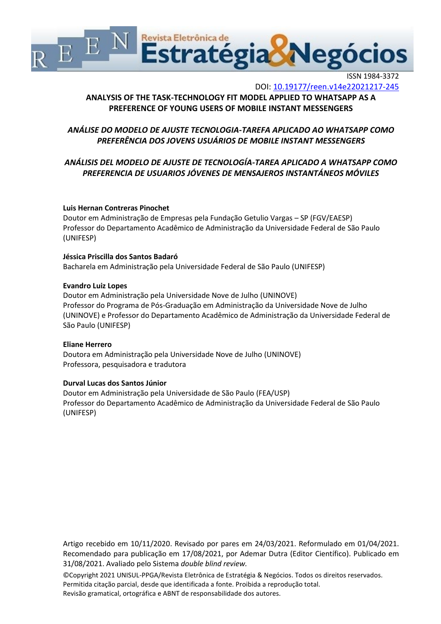

ISSN 1984-3372 DOI: <10.19177/reen.v14e22021217-245>

# **ANALYSIS OF THE TASK-TECHNOLOGY FIT MODEL APPLIED TO WHATSAPP AS A PREFERENCE OF YOUNG USERS OF MOBILE INSTANT MESSENGERS**

# *ANÁLISE DO MODELO DE AJUSTE TECNOLOGIA-TAREFA APLICADO AO WHATSAPP COMO PREFERÊNCIA DOS JOVENS USUÁRIOS DE MOBILE INSTANT MESSENGERS*

# *ANÁLISIS DEL MODELO DE AJUSTE DE TECNOLOGÍA-TAREA APLICADO A WHATSAPP COMO PREFERENCIA DE USUARIOS JÓVENES DE MENSAJEROS INSTANTÁNEOS MÓVILES*

## **Luis Hernan Contreras Pinochet**

Doutor em Administração de Empresas pela Fundação Getulio Vargas – SP (FGV/EAESP) Professor do Departamento Acadêmico de Administração da Universidade Federal de São Paulo (UNIFESP)

#### **Jéssica Priscilla dos Santos Badaró**

Bacharela em Administração pela Universidade Federal de São Paulo (UNIFESP)

#### **Evandro Luiz Lopes**

Doutor em Administração pela Universidade Nove de Julho (UNINOVE) Professor do Programa de Pós-Graduação em Administração da Universidade Nove de Julho (UNINOVE) e Professor do Departamento Acadêmico de Administração da Universidade Federal de São Paulo (UNIFESP)

#### **Eliane Herrero**

Doutora em Administração pela Universidade Nove de Julho (UNINOVE) Professora, pesquisadora e tradutora

## **Durval Lucas dos Santos Júnior**

Doutor em Administração pela Universidade de São Paulo (FEA/USP) Professor do Departamento Acadêmico de Administração da Universidade Federal de São Paulo (UNIFESP)

Artigo recebido em 10/11/2020. Revisado por pares em 24/03/2021. Reformulado em 01/04/2021. Recomendado para publicação em 17/08/2021, por Ademar Dutra (Editor Científico). Publicado em 31/08/2021. Avaliado pelo Sistema *double blind review.*

©Copyright 2021 UNISUL-PPGA/Revista Eletrônica de Estratégia & Negócios. Todos os direitos reservados. Permitida citação parcial, desde que identificada a fonte. Proibida a reprodução total. Revisão gramatical, ortográfica e ABNT de responsabilidade dos autores.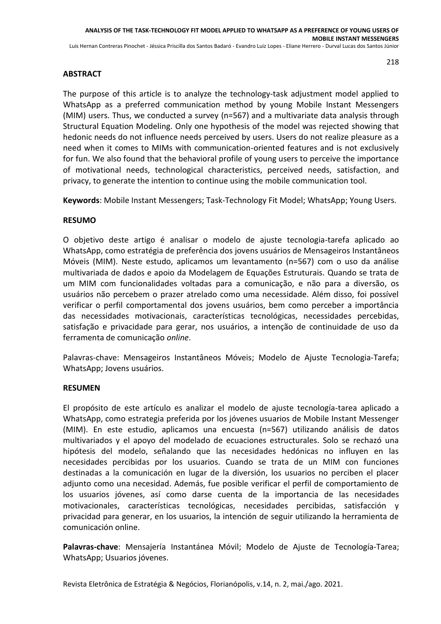## **ABSTRACT**

The purpose of this article is to analyze the technology-task adjustment model applied to WhatsApp as a preferred communication method by young Mobile Instant Messengers (MIM) users. Thus, we conducted a survey (n=567) and a multivariate data analysis through Structural Equation Modeling. Only one hypothesis of the model was rejected showing that hedonic needs do not influence needs perceived by users. Users do not realize pleasure as a need when it comes to MIMs with communication-oriented features and is not exclusively for fun. We also found that the behavioral profile of young users to perceive the importance of motivational needs, technological characteristics, perceived needs, satisfaction, and privacy, to generate the intention to continue using the mobile communication tool.

**Keywords**: Mobile Instant Messengers; Task-Technology Fit Model; WhatsApp; Young Users.

## **RESUMO**

O objetivo deste artigo é analisar o modelo de ajuste tecnologia-tarefa aplicado ao WhatsApp, como estratégia de preferência dos jovens usuários de Mensageiros Instantâneos Móveis (MIM). Neste estudo, aplicamos um levantamento (n=567) com o uso da análise multivariada de dados e apoio da Modelagem de Equações Estruturais. Quando se trata de um MIM com funcionalidades voltadas para a comunicação, e não para a diversão, os usuários não percebem o prazer atrelado como uma necessidade. Além disso, foi possível verificar o perfil comportamental dos jovens usuários, bem como perceber a importância das necessidades motivacionais, características tecnológicas, necessidades percebidas, satisfação e privacidade para gerar, nos usuários, a intenção de continuidade de uso da ferramenta de comunicação *online*.

Palavras-chave: Mensageiros Instantâneos Móveis; Modelo de Ajuste Tecnologia-Tarefa; WhatsApp; Jovens usuários.

## **RESUMEN**

El propósito de este artículo es analizar el modelo de ajuste tecnología-tarea aplicado a WhatsApp, como estrategia preferida por los jóvenes usuarios de Mobile Instant Messenger (MIM). En este estudio, aplicamos una encuesta (n=567) utilizando análisis de datos multivariados y el apoyo del modelado de ecuaciones estructurales. Solo se rechazó una hipótesis del modelo, señalando que las necesidades hedónicas no influyen en las necesidades percibidas por los usuarios. Cuando se trata de un MIM con funciones destinadas a la comunicación en lugar de la diversión, los usuarios no perciben el placer adjunto como una necesidad. Además, fue posible verificar el perfil de comportamiento de los usuarios jóvenes, así como darse cuenta de la importancia de las necesidades motivacionales, características tecnológicas, necesidades percibidas, satisfacción y privacidad para generar, en los usuarios, la intención de seguir utilizando la herramienta de comunicación online.

**Palavras-chave**: Mensajería Instantánea Móvil; Modelo de Ajuste de Tecnología-Tarea; WhatsApp; Usuarios jóvenes.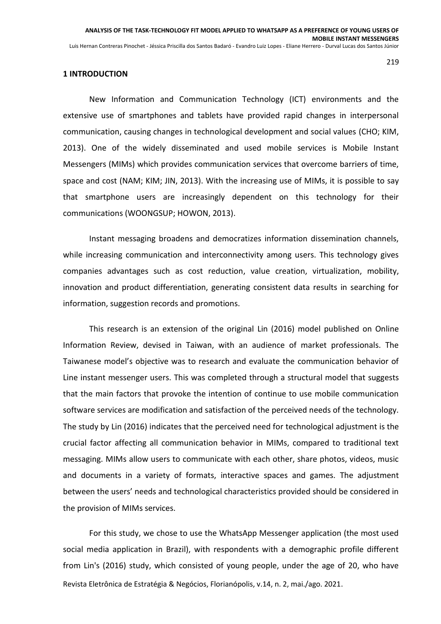#### **1 INTRODUCTION**

New Information and Communication Technology (ICT) environments and the extensive use of smartphones and tablets have provided rapid changes in interpersonal communication, causing changes in technological development and social values (CHO; KIM, 2013). One of the widely disseminated and used mobile services is Mobile Instant Messengers (MIMs) which provides communication services that overcome barriers of time, space and cost (NAM; KIM; JIN, 2013). With the increasing use of MIMs, it is possible to say that smartphone users are increasingly dependent on this technology for their communications (WOONGSUP; HOWON, 2013).

Instant messaging broadens and democratizes information dissemination channels, while increasing communication and interconnectivity among users. This technology gives companies advantages such as cost reduction, value creation, virtualization, mobility, innovation and product differentiation, generating consistent data results in searching for information, suggestion records and promotions.

This research is an extension of the original Lin (2016) model published on Online Information Review, devised in Taiwan, with an audience of market professionals. The Taiwanese model's objective was to research and evaluate the communication behavior of Line instant messenger users. This was completed through a structural model that suggests that the main factors that provoke the intention of continue to use mobile communication software services are modification and satisfaction of the perceived needs of the technology. The study by Lin (2016) indicates that the perceived need for technological adjustment is the crucial factor affecting all communication behavior in MIMs, compared to traditional text messaging. MIMs allow users to communicate with each other, share photos, videos, music and documents in a variety of formats, interactive spaces and games. The adjustment between the users' needs and technological characteristics provided should be considered in the provision of MIMs services.

Revista Eletrônica de Estratégia & Negócios, Florianópolis, v.14, n. 2, mai./ago. 2021. For this study, we chose to use the WhatsApp Messenger application (the most used social media application in Brazil), with respondents with a demographic profile different from Lin's (2016) study, which consisted of young people, under the age of 20, who have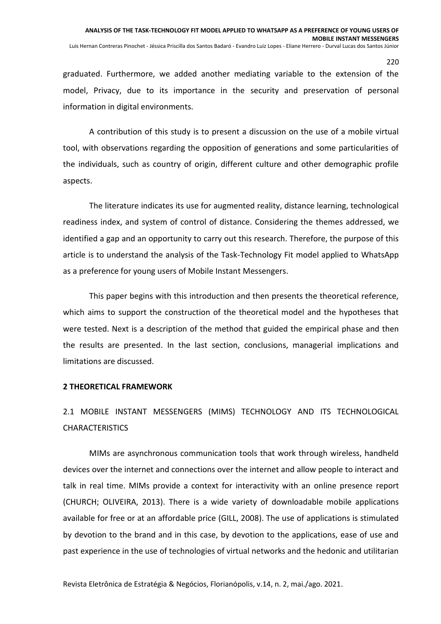graduated. Furthermore, we added another mediating variable to the extension of the model, Privacy, due to its importance in the security and preservation of personal information in digital environments.

A contribution of this study is to present a discussion on the use of a mobile virtual tool, with observations regarding the opposition of generations and some particularities of the individuals, such as country of origin, different culture and other demographic profile aspects.

The literature indicates its use for augmented reality, distance learning, technological readiness index, and system of control of distance. Considering the themes addressed, we identified a gap and an opportunity to carry out this research. Therefore, the purpose of this article is to understand the analysis of the Task-Technology Fit model applied to WhatsApp as a preference for young users of Mobile Instant Messengers.

This paper begins with this introduction and then presents the theoretical reference, which aims to support the construction of the theoretical model and the hypotheses that were tested. Next is a description of the method that guided the empirical phase and then the results are presented. In the last section, conclusions, managerial implications and limitations are discussed.

#### **2 THEORETICAL FRAMEWORK**

# 2.1 MOBILE INSTANT MESSENGERS (MIMS) TECHNOLOGY AND ITS TECHNOLOGICAL **CHARACTERISTICS**

MIMs are asynchronous communication tools that work through wireless, handheld devices over the internet and connections over the internet and allow people to interact and talk in real time. MIMs provide a context for interactivity with an online presence report (CHURCH; OLIVEIRA, 2013). There is a wide variety of downloadable mobile applications available for free or at an affordable price (GILL, 2008). The use of applications is stimulated by devotion to the brand and in this case, by devotion to the applications, ease of use and past experience in the use of technologies of virtual networks and the hedonic and utilitarian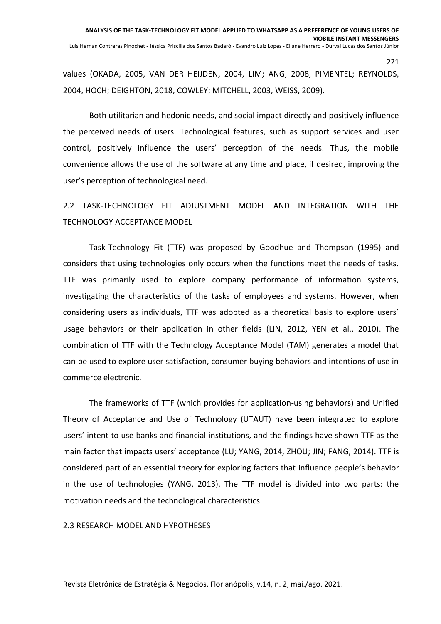values (OKADA, 2005, VAN DER HEIJDEN, 2004, LIM; ANG, 2008, PIMENTEL; REYNOLDS, 2004, HOCH; DEIGHTON, 2018, COWLEY; MITCHELL, 2003, WEISS, 2009).

Both utilitarian and hedonic needs, and social impact directly and positively influence the perceived needs of users. Technological features, such as support services and user control, positively influence the users' perception of the needs. Thus, the mobile convenience allows the use of the software at any time and place, if desired, improving the user's perception of technological need.

2.2 TASK-TECHNOLOGY FIT ADJUSTMENT MODEL AND INTEGRATION WITH THE TECHNOLOGY ACCEPTANCE MODEL

Task-Technology Fit (TTF) was proposed by Goodhue and Thompson (1995) and considers that using technologies only occurs when the functions meet the needs of tasks. TTF was primarily used to explore company performance of information systems, investigating the characteristics of the tasks of employees and systems. However, when considering users as individuals, TTF was adopted as a theoretical basis to explore users' usage behaviors or their application in other fields (LIN, 2012, YEN et al., 2010). The combination of TTF with the Technology Acceptance Model (TAM) generates a model that can be used to explore user satisfaction, consumer buying behaviors and intentions of use in commerce electronic.

The frameworks of TTF (which provides for application-using behaviors) and Unified Theory of Acceptance and Use of Technology (UTAUT) have been integrated to explore users' intent to use banks and financial institutions, and the findings have shown TTF as the main factor that impacts users' acceptance (LU; YANG, 2014, ZHOU; JIN; FANG, 2014). TTF is considered part of an essential theory for exploring factors that influence people's behavior in the use of technologies (YANG, 2013). The TTF model is divided into two parts: the motivation needs and the technological characteristics.

#### 2.3 RESEARCH MODEL AND HYPOTHESES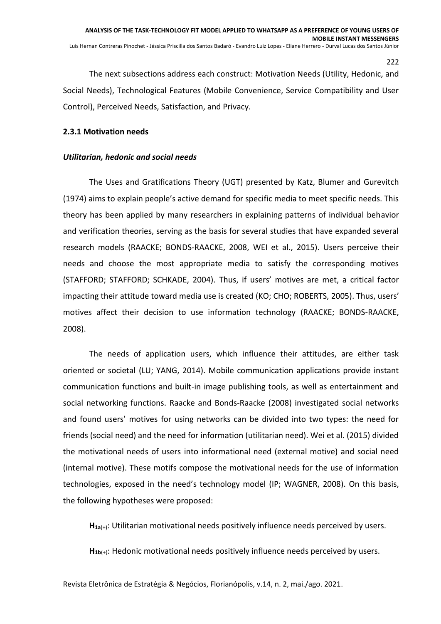The next subsections address each construct: Motivation Needs (Utility, Hedonic, and Social Needs), Technological Features (Mobile Convenience, Service Compatibility and User Control), Perceived Needs, Satisfaction, and Privacy.

## **2.3.1 Motivation needs**

## *Utilitarian, hedonic and social needs*

The Uses and Gratifications Theory (UGT) presented by Katz, Blumer and Gurevitch (1974) aims to explain people's active demand for specific media to meet specific needs. This theory has been applied by many researchers in explaining patterns of individual behavior and verification theories, serving as the basis for several studies that have expanded several research models (RAACKE; BONDS-RAACKE, 2008, WEI et al., 2015). Users perceive their needs and choose the most appropriate media to satisfy the corresponding motives (STAFFORD; STAFFORD; SCHKADE, 2004). Thus, if users' motives are met, a critical factor impacting their attitude toward media use is created (KO; CHO; ROBERTS, 2005). Thus, users' motives affect their decision to use information technology (RAACKE; BONDS-RAACKE, 2008).

The needs of application users, which influence their attitudes, are either task oriented or societal (LU; YANG, 2014). Mobile communication applications provide instant communication functions and built-in image publishing tools, as well as entertainment and social networking functions. Raacke and Bonds-Raacke (2008) investigated social networks and found users' motives for using networks can be divided into two types: the need for friends (social need) and the need for information (utilitarian need). Wei et al. (2015) divided the motivational needs of users into informational need (external motive) and social need (internal motive). These motifs compose the motivational needs for the use of information technologies, exposed in the need's technology model (IP; WAGNER, 2008). On this basis, the following hypotheses were proposed:

**H1a**(+): Utilitarian motivational needs positively influence needs perceived by users.

**H1b**(+): Hedonic motivational needs positively influence needs perceived by users.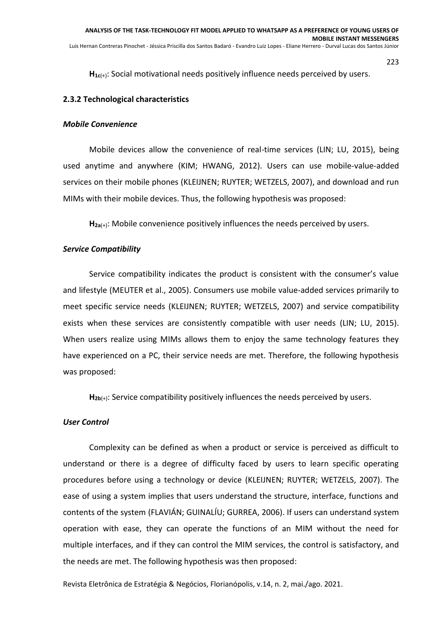**H1c**(+): Social motivational needs positively influence needs perceived by users.

#### **2.3.2 Technological characteristics**

#### *Mobile Convenience*

Mobile devices allow the convenience of real-time services (LIN; LU, 2015), being used anytime and anywhere (KIM; HWANG, 2012). Users can use mobile-value-added services on their mobile phones (KLEIJNEN; RUYTER; WETZELS, 2007), and download and run MIMs with their mobile devices. Thus, the following hypothesis was proposed:

**H2a**(+): Mobile convenience positively influences the needs perceived by users.

#### *Service Compatibility*

Service compatibility indicates the product is consistent with the consumer's value and lifestyle (MEUTER et al., 2005). Consumers use mobile value-added services primarily to meet specific service needs (KLEIJNEN; RUYTER; WETZELS, 2007) and service compatibility exists when these services are consistently compatible with user needs (LIN; LU, 2015). When users realize using MIMs allows them to enjoy the same technology features they have experienced on a PC, their service needs are met. Therefore, the following hypothesis was proposed:

**H2b**(+): Service compatibility positively influences the needs perceived by users.

#### *User Control*

Complexity can be defined as when a product or service is perceived as difficult to understand or there is a degree of difficulty faced by users to learn specific operating procedures before using a technology or device (KLEIJNEN; RUYTER; WETZELS, 2007). The ease of using a system implies that users understand the structure, interface, functions and contents of the system (FLAVIÁN; GUINALÍU; GURREA, 2006). If users can understand system operation with ease, they can operate the functions of an MIM without the need for multiple interfaces, and if they can control the MIM services, the control is satisfactory, and the needs are met. The following hypothesis was then proposed: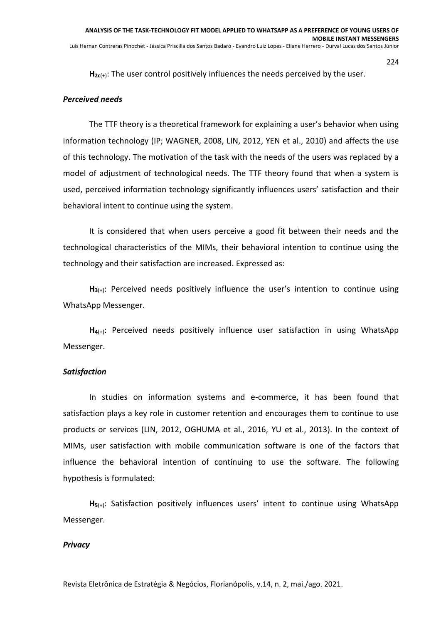**H2c**(+): The user control positively influences the needs perceived by the user.

## *Perceived needs*

The TTF theory is a theoretical framework for explaining a user's behavior when using information technology (IP; WAGNER, 2008, LIN, 2012, YEN et al., 2010) and affects the use of this technology. The motivation of the task with the needs of the users was replaced by a model of adjustment of technological needs. The TTF theory found that when a system is used, perceived information technology significantly influences users' satisfaction and their behavioral intent to continue using the system.

It is considered that when users perceive a good fit between their needs and the technological characteristics of the MIMs, their behavioral intention to continue using the technology and their satisfaction are increased. Expressed as:

**H3**(+): Perceived needs positively influence the user's intention to continue using WhatsApp Messenger.

**H4**(+): Perceived needs positively influence user satisfaction in using WhatsApp Messenger.

#### *Satisfaction*

In studies on information systems and e-commerce, it has been found that satisfaction plays a key role in customer retention and encourages them to continue to use products or services (LIN, 2012, OGHUMA et al., 2016, YU et al., 2013). In the context of MIMs, user satisfaction with mobile communication software is one of the factors that influence the behavioral intention of continuing to use the software. The following hypothesis is formulated:

**H5**(+): Satisfaction positively influences users' intent to continue using WhatsApp Messenger.

#### *Privacy*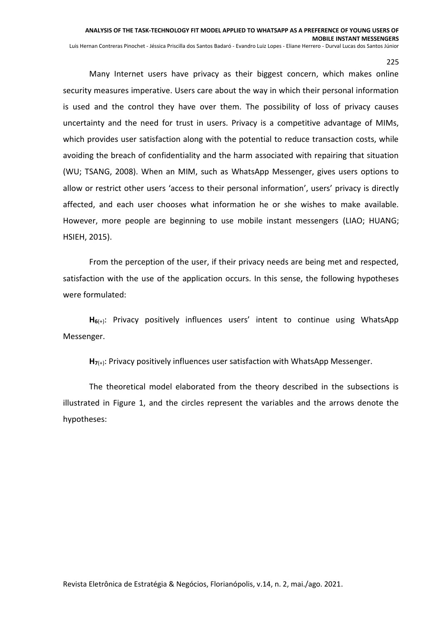Many Internet users have privacy as their biggest concern, which makes online security measures imperative. Users care about the way in which their personal information is used and the control they have over them. The possibility of loss of privacy causes uncertainty and the need for trust in users. Privacy is a competitive advantage of MIMs, which provides user satisfaction along with the potential to reduce transaction costs, while avoiding the breach of confidentiality and the harm associated with repairing that situation (WU; TSANG, 2008). When an MIM, such as WhatsApp Messenger, gives users options to allow or restrict other users 'access to their personal information', users' privacy is directly affected, and each user chooses what information he or she wishes to make available. However, more people are beginning to use mobile instant messengers (LIAO; HUANG; HSIEH, 2015).

From the perception of the user, if their privacy needs are being met and respected, satisfaction with the use of the application occurs. In this sense, the following hypotheses were formulated:

**H6**(+): Privacy positively influences users' intent to continue using WhatsApp Messenger.

**H7**(+): Privacy positively influences user satisfaction with WhatsApp Messenger.

The theoretical model elaborated from the theory described in the subsections is illustrated in Figure 1, and the circles represent the variables and the arrows denote the hypotheses: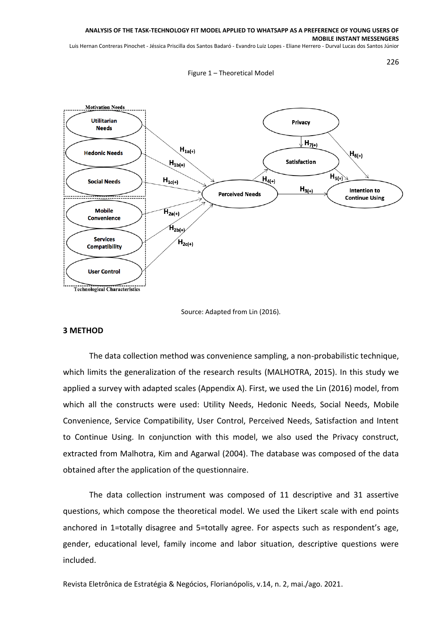Luis Hernan Contreras Pinochet - Jéssica Priscilla dos Santos Badaró - Evandro Luiz Lopes - Eliane Herrero - Durval Lucas dos Santos Júnior

Figure 1 – Theoretical Model



Source: Adapted from Lin (2016).

#### **3 METHOD**

The data collection method was convenience sampling, a non-probabilistic technique, which limits the generalization of the research results (MALHOTRA, 2015). In this study we applied a survey with adapted scales (Appendix A). First, we used the Lin (2016) model, from which all the constructs were used: Utility Needs, Hedonic Needs, Social Needs, Mobile Convenience, Service Compatibility, User Control, Perceived Needs, Satisfaction and Intent to Continue Using. In conjunction with this model, we also used the Privacy construct, extracted from Malhotra, Kim and Agarwal (2004). The database was composed of the data obtained after the application of the questionnaire.

The data collection instrument was composed of 11 descriptive and 31 assertive questions, which compose the theoretical model. We used the Likert scale with end points anchored in 1=totally disagree and 5=totally agree. For aspects such as respondent's age, gender, educational level, family income and labor situation, descriptive questions were included.

Revista Eletrônica de Estratégia & Negócios, Florianópolis, v.14, n. 2, mai./ago. 2021.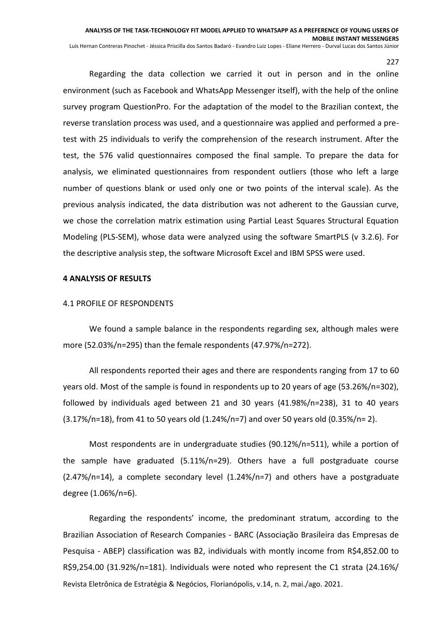227 Regarding the data collection we carried it out in person and in the online environment (such as Facebook and WhatsApp Messenger itself), with the help of the online survey program QuestionPro. For the adaptation of the model to the Brazilian context, the reverse translation process was used, and a questionnaire was applied and performed a pretest with 25 individuals to verify the comprehension of the research instrument. After the test, the 576 valid questionnaires composed the final sample. To prepare the data for analysis, we eliminated questionnaires from respondent outliers (those who left a large number of questions blank or used only one or two points of the interval scale). As the previous analysis indicated, the data distribution was not adherent to the Gaussian curve, we chose the correlation matrix estimation using Partial Least Squares Structural Equation

# **4 ANALYSIS OF RESULTS**

#### 4.1 PROFILE OF RESPONDENTS

We found a sample balance in the respondents regarding sex, although males were more (52.03%/n=295) than the female respondents (47.97%/n=272).

Modeling (PLS-SEM), whose data were analyzed using the software SmartPLS (v 3.2.6). For

the descriptive analysis step, the software Microsoft Excel and IBM SPSS were used.

All respondents reported their ages and there are respondents ranging from 17 to 60 years old. Most of the sample is found in respondents up to 20 years of age (53.26%/n=302), followed by individuals aged between 21 and 30 years (41.98%/n=238), 31 to 40 years  $(3.17\%/n=18)$ , from 41 to 50 years old  $(1.24\%/n=7)$  and over 50 years old  $(0.35\%/n=2)$ .

Most respondents are in undergraduate studies (90.12%/n=511), while a portion of the sample have graduated (5.11%/n=29). Others have a full postgraduate course  $(2.47\%/n=14)$ , a complete secondary level  $(1.24\%/n=7)$  and others have a postgraduate degree (1.06%/n=6).

Revista Eletrônica de Estratégia & Negócios, Florianópolis, v.14, n. 2, mai./ago. 2021. Regarding the respondents' income, the predominant stratum, according to the Brazilian Association of Research Companies - BARC (Associação Brasileira das Empresas de Pesquisa - ABEP) classification was B2, individuals with montly income from R\$4,852.00 to R\$9,254.00 (31.92%/n=181). Individuals were noted who represent the C1 strata (24.16%/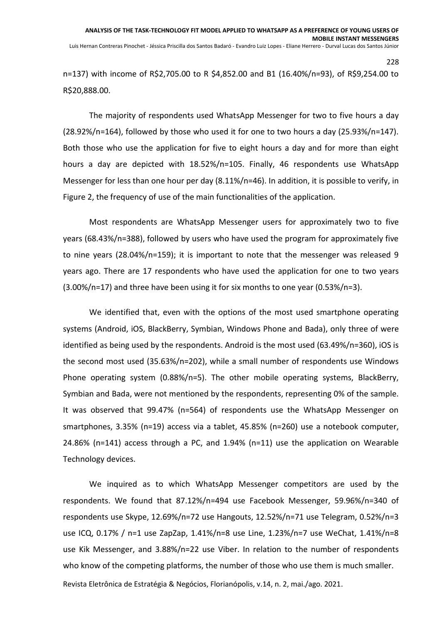n=137) with income of R\$2,705.00 to R \$4,852.00 and B1 (16.40%/n=93), of R\$9,254.00 to R\$20,888.00.

The majority of respondents used WhatsApp Messenger for two to five hours a day (28.92%/n=164), followed by those who used it for one to two hours a day (25.93%/n=147). Both those who use the application for five to eight hours a day and for more than eight hours a day are depicted with 18.52%/n=105. Finally, 46 respondents use WhatsApp Messenger for less than one hour per day (8.11%/n=46). In addition, it is possible to verify, in Figure 2, the frequency of use of the main functionalities of the application.

Most respondents are WhatsApp Messenger users for approximately two to five years (68.43%/n=388), followed by users who have used the program for approximately five to nine years (28.04%/n=159); it is important to note that the messenger was released 9 years ago. There are 17 respondents who have used the application for one to two years (3.00%/n=17) and three have been using it for six months to one year (0.53%/n=3).

We identified that, even with the options of the most used smartphone operating systems (Android, iOS, BlackBerry, Symbian, Windows Phone and Bada), only three of were identified as being used by the respondents. Android is the most used (63.49%/n=360), iOS is the second most used (35.63%/n=202), while a small number of respondents use Windows Phone operating system (0.88%/n=5). The other mobile operating systems, BlackBerry, Symbian and Bada, were not mentioned by the respondents, representing 0% of the sample. It was observed that 99.47% (n=564) of respondents use the WhatsApp Messenger on smartphones, 3.35% (n=19) access via a tablet, 45.85% (n=260) use a notebook computer, 24.86% (n=141) access through a PC, and 1.94% (n=11) use the application on Wearable Technology devices.

We inquired as to which WhatsApp Messenger competitors are used by the respondents. We found that 87.12%/n=494 use Facebook Messenger, 59.96%/n=340 of respondents use Skype, 12.69%/n=72 use Hangouts, 12.52%/n=71 use Telegram, 0.52%/n=3 use ICQ, 0.17% / n=1 use ZapZap, 1.41%/n=8 use Line, 1.23%/n=7 use WeChat, 1.41%/n=8 use Kik Messenger, and 3.88%/n=22 use Viber. In relation to the number of respondents who know of the competing platforms, the number of those who use them is much smaller.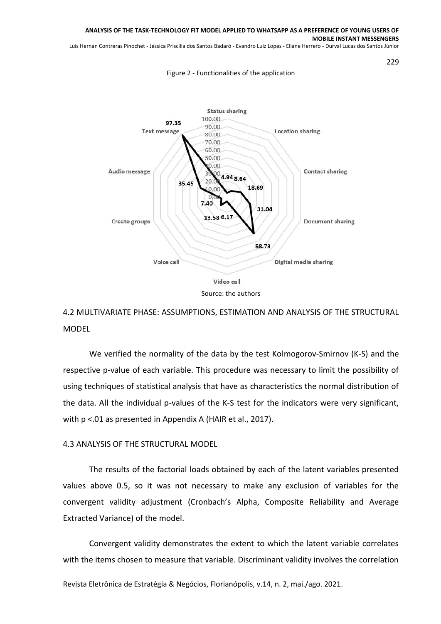Luis Hernan Contreras Pinochet - Jéssica Priscilla dos Santos Badaró - Evandro Luiz Lopes - Eliane Herrero - Durval Lucas dos Santos Júnior

229

#### Figure 2 - Functionalities of the application



Source: the authors

# 4.2 MULTIVARIATE PHASE: ASSUMPTIONS, ESTIMATION AND ANALYSIS OF THE STRUCTURAL MODEL

We verified the normality of the data by the test Kolmogorov-Smirnov (K-S) and the respective p-value of each variable. This procedure was necessary to limit the possibility of using techniques of statistical analysis that have as characteristics the normal distribution of the data. All the individual p-values of the K-S test for the indicators were very significant, with  $p < 01$  as presented in Appendix A (HAIR et al., 2017).

#### 4.3 ANALYSIS OF THE STRUCTURAL MODEL

The results of the factorial loads obtained by each of the latent variables presented values above 0.5, so it was not necessary to make any exclusion of variables for the convergent validity adjustment (Cronbach's Alpha, Composite Reliability and Average Extracted Variance) of the model.

Convergent validity demonstrates the extent to which the latent variable correlates with the items chosen to measure that variable. Discriminant validity involves the correlation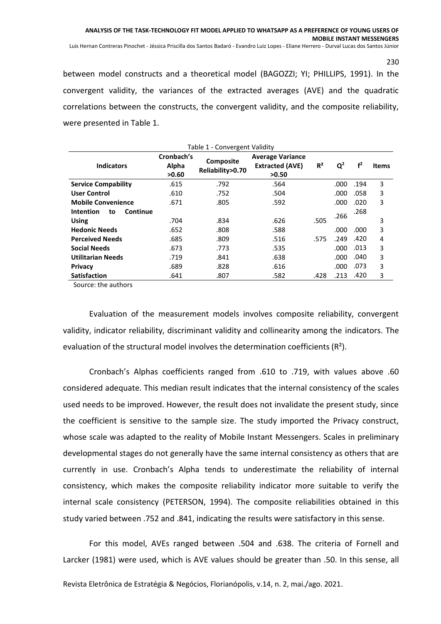between model constructs and a theoretical model (BAGOZZI; YI; PHILLIPS, 1991). In the convergent validity, the variances of the extracted averages (AVE) and the quadratic correlations between the constructs, the convergent validity, and the composite reliability, were presented in Table 1.

| Table 1 - Convergent Validity             |                              |                                      |                                                            |                |       |                |              |  |  |  |
|-------------------------------------------|------------------------------|--------------------------------------|------------------------------------------------------------|----------------|-------|----------------|--------------|--|--|--|
| <b>Indicators</b>                         | Cronbach's<br>Alpha<br>>0.60 | <b>Composite</b><br>Reliability>0.70 | <b>Average Variance</b><br><b>Extracted (AVE)</b><br>>0.50 | R <sup>2</sup> | $Q^2$ | f <sup>2</sup> | <b>Items</b> |  |  |  |
| <b>Service Compability</b>                | .615                         | .792                                 | .564                                                       |                | .000  | .194           | 3            |  |  |  |
| <b>User Control</b>                       | .610                         | .752                                 | .504                                                       |                | .000  | .058           | 3            |  |  |  |
| <b>Mobile Convenience</b>                 | .671                         | .805                                 | .592                                                       |                | .000  | .020           | 3            |  |  |  |
| <b>Intention</b><br><b>Continue</b><br>to |                              |                                      |                                                            |                | .266  | .268           |              |  |  |  |
| <b>Using</b>                              | .704                         | .834                                 | .626                                                       | .505           |       |                | 3            |  |  |  |
| <b>Hedonic Needs</b>                      | .652                         | .808                                 | .588                                                       |                | .000  | .000           | 3            |  |  |  |
| <b>Perceived Needs</b>                    | .685                         | .809                                 | .516                                                       | .575           | .249  | .420           | 4            |  |  |  |
| <b>Social Needs</b>                       | .673                         | .773                                 | .535                                                       |                | .000  | .013           | 3            |  |  |  |
| <b>Utilitarian Needs</b>                  | .719                         | .841                                 | .638                                                       |                | .000  | .040           | 3            |  |  |  |
| <b>Privacy</b>                            | .689                         | .828                                 | .616                                                       |                | .000  | .073           | 3            |  |  |  |
| <b>Satisfaction</b>                       | .641                         | .807                                 | .582                                                       | .428           | .213  | .420           | 3            |  |  |  |

Source: the authors

Evaluation of the measurement models involves composite reliability, convergent validity, indicator reliability, discriminant validity and collinearity among the indicators. The evaluation of the structural model involves the determination coefficients (R<sup>2</sup>).

Cronbach's Alphas coefficients ranged from .610 to .719, with values above .60 considered adequate. This median result indicates that the internal consistency of the scales used needs to be improved. However, the result does not invalidate the present study, since the coefficient is sensitive to the sample size. The study imported the Privacy construct, whose scale was adapted to the reality of Mobile Instant Messengers. Scales in preliminary developmental stages do not generally have the same internal consistency as others that are currently in use. Cronbach's Alpha tends to underestimate the reliability of internal consistency, which makes the composite reliability indicator more suitable to verify the internal scale consistency (PETERSON, 1994). The composite reliabilities obtained in this study varied between .752 and .841, indicating the results were satisfactory in this sense.

For this model, AVEs ranged between .504 and .638. The criteria of Fornell and Larcker (1981) were used, which is AVE values should be greater than .50. In this sense, all

Revista Eletrônica de Estratégia & Negócios, Florianópolis, v.14, n. 2, mai./ago. 2021.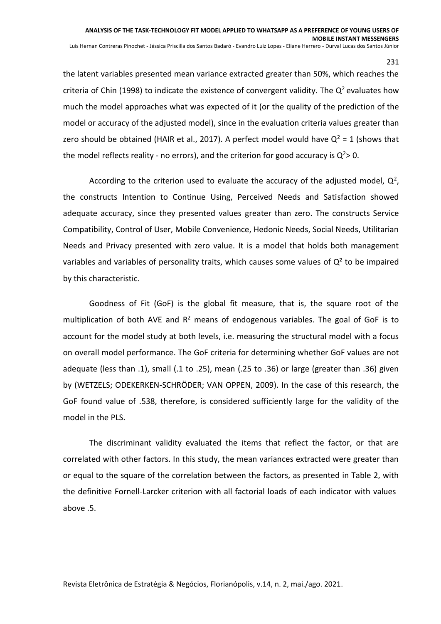the latent variables presented mean variance extracted greater than 50%, which reaches the criteria of Chin (1998) to indicate the existence of convergent validity. The  $Q^2$  evaluates how much the model approaches what was expected of it (or the quality of the prediction of the model or accuracy of the adjusted model), since in the evaluation criteria values greater than zero should be obtained (HAIR et al., 2017). A perfect model would have  $Q^2 = 1$  (shows that the model reflects reality - no errors), and the criterion for good accuracy is  $Q^2$  > 0.

According to the criterion used to evaluate the accuracy of the adjusted model,  $Q^2$ , the constructs Intention to Continue Using, Perceived Needs and Satisfaction showed adequate accuracy, since they presented values greater than zero. The constructs Service Compatibility, Control of User, Mobile Convenience, Hedonic Needs, Social Needs, Utilitarian Needs and Privacy presented with zero value. It is a model that holds both management variables and variables of personality traits, which causes some values of  $Q<sup>2</sup>$  to be impaired by this characteristic.

Goodness of Fit (GoF) is the global fit measure, that is, the square root of the multiplication of both AVE and  $R^2$  means of endogenous variables. The goal of GoF is to account for the model study at both levels, i.e. measuring the structural model with a focus on overall model performance. The GoF criteria for determining whether GoF values are not adequate (less than .1), small (.1 to .25), mean (.25 to .36) or large (greater than .36) given by (WETZELS; ODEKERKEN-SCHRÖDER; VAN OPPEN, 2009). In the case of this research, the GoF found value of .538, therefore, is considered sufficiently large for the validity of the model in the PLS.

The discriminant validity evaluated the items that reflect the factor, or that are correlated with other factors. In this study, the mean variances extracted were greater than or equal to the square of the correlation between the factors, as presented in Table 2, with the definitive Fornell-Larcker criterion with all factorial loads of each indicator with values above .5.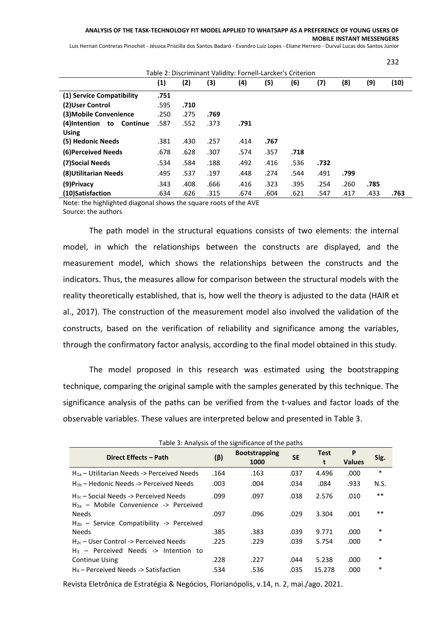232

Luis Hernan Contreras Pinochet - Jéssica Priscilla dos Santos Badaró - Evandro Luiz Lopes - Eliane Herrero - Durval Lucas dos Santos Júnior

| Table 2: Discriminant Validity: Fornell-Larcker's Criterion |      |      |      |      |      |      |      |      |      |      |
|-------------------------------------------------------------|------|------|------|------|------|------|------|------|------|------|
|                                                             | (1)  | (2)  | (3)  | (4)  | (5)  | (6)  | (7)  | (8)  | (9)  | (10) |
| (1) Service Compatibility                                   | .751 |      |      |      |      |      |      |      |      |      |
| (2) User Control                                            | .595 | .710 |      |      |      |      |      |      |      |      |
| (3) Mobile Convenience                                      | .250 | .275 | .769 |      |      |      |      |      |      |      |
| (4)Intention<br>Continue<br>to                              | .587 | .552 | .373 | .791 |      |      |      |      |      |      |
| <b>Using</b>                                                |      |      |      |      |      |      |      |      |      |      |
| (5) Hedonic Needs                                           | .381 | .430 | .257 | .414 | .767 |      |      |      |      |      |
| (6) Perceived Needs                                         | .678 | .628 | .307 | .574 | .357 | .718 |      |      |      |      |
| (7) Social Needs                                            | .534 | .584 | .188 | .492 | .416 | .536 | .732 |      |      |      |
| (8) Utilitarian Needs                                       | .495 | .537 | .197 | .448 | .274 | .544 | .491 | .799 |      |      |
| (9) Privacy                                                 | .343 | .408 | .666 | .416 | .323 | .395 | .254 | .260 | .785 |      |
| (10)Satisfaction                                            | .634 | .626 | .315 | .674 | .604 | .621 | .547 | .417 | .433 | .763 |

Note: the highlighted diagonal shows the square roots of the AVE Source: the authors

The path model in the structural equations consists of two elements: the internal model, in which the relationships between the constructs are displayed, and the measurement model, which shows the relationships between the constructs and the indicators. Thus, the measures allow for comparison between the structural models with the reality theoretically established, that is, how well the theory is adjusted to the data (HAIR et al., 2017). The construction of the measurement model also involved the validation of the constructs, based on the verification of reliability and significance among the variables, through the confirmatory factor analysis, according to the final model obtained in this study.

The model proposed in this research was estimated using the bootstrapping technique, comparing the original sample with the samples generated by this technique. The significance analysis of the paths can be verified from the t-values and factor loads of the observable variables. These values are interpreted below and presented in Table 3.

| Table 3: Analysis of the significance of the paths                                       |           |                              |           |                  |                    |        |  |  |  |
|------------------------------------------------------------------------------------------|-----------|------------------------------|-----------|------------------|--------------------|--------|--|--|--|
| Direct Effects - Path                                                                    | $(\beta)$ | <b>Bootstrapping</b><br>1000 | <b>SE</b> | <b>Test</b><br>t | P<br><b>Values</b> | Sig.   |  |  |  |
| $H_{1a}$ – Utilitarian Needs -> Perceived Needs                                          | .164      | .163                         | .037      | 4.496            | .000               | $\ast$ |  |  |  |
| $H_{1b}$ – Hedonic Needs -> Perceived Needs                                              | .003      | .004                         | .034      | .084             | .933               | N.S.   |  |  |  |
| $H_{1c}$ – Social Needs -> Perceived Needs<br>$H_{2a}$ – Mobile Convenience -> Perceived | .099      | .097                         | .038      | 2.576            | .010               | $***$  |  |  |  |
| <b>Needs</b><br>$H_{2b}$ – Service Compatibility -> Perceived                            | .097      | .096                         | .029      | 3.304            | .001               | $***$  |  |  |  |
| <b>Needs</b>                                                                             | .385      | .383                         | .039      | 9.771            | .000               | $\ast$ |  |  |  |
| $H_{2c}$ – User Control -> Perceived Needs<br>$H_3$ – Perceived Needs -> Intention to    | .225      | .229                         | .039      | 5.754            | .000               | ∗      |  |  |  |
| <b>Continue Using</b>                                                                    | .228      | .227                         | .044      | 5.238            | .000               | $\ast$ |  |  |  |
| $H_4$ – Perceived Needs -> Satisfaction                                                  | .534      | .536                         | .035      | 15.278           | .000               | ∗      |  |  |  |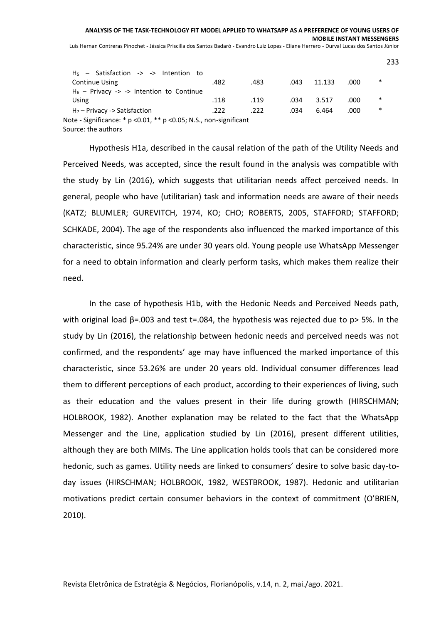Luis Hernan Contreras Pinochet - Jéssica Priscilla dos Santos Badaró - Evandro Luiz Lopes - Eliane Herrero - Durval Lucas dos Santos Júnior

| H <sub>7</sub> – Privacy -> Satisfaction    | .222 | .222 | .034 | 6.464  | .000 | ∗   |
|---------------------------------------------|------|------|------|--------|------|-----|
| Using                                       | .118 | .119 | .034 | 3.517  | .000 | ∗   |
| $H_6$ – Privacy -> -> Intention to Continue |      |      |      |        |      |     |
| <b>Continue Using</b>                       | .482 | .483 | .043 | 11.133 | .000 | ∗   |
| $H5$ - Satisfaction -> -> Intention to      |      |      |      |        |      | 233 |
|                                             |      |      |      |        |      |     |

Note - Significance: \* p <0.01, \*\* p <0.05; N.S., non-significant Source: the authors

Hypothesis H1a, described in the causal relation of the path of the Utility Needs and Perceived Needs, was accepted, since the result found in the analysis was compatible with the study by Lin (2016), which suggests that utilitarian needs affect perceived needs. In general, people who have (utilitarian) task and information needs are aware of their needs (KATZ; BLUMLER; GUREVITCH, 1974, KO; CHO; ROBERTS, 2005, STAFFORD; STAFFORD; SCHKADE, 2004). The age of the respondents also influenced the marked importance of this characteristic, since 95.24% are under 30 years old. Young people use WhatsApp Messenger for a need to obtain information and clearly perform tasks, which makes them realize their need.

In the case of hypothesis H1b, with the Hedonic Needs and Perceived Needs path, with original load  $\beta$ =.003 and test t=.084, the hypothesis was rejected due to p> 5%. In the study by Lin (2016), the relationship between hedonic needs and perceived needs was not confirmed, and the respondents' age may have influenced the marked importance of this characteristic, since 53.26% are under 20 years old. Individual consumer differences lead them to different perceptions of each product, according to their experiences of living, such as their education and the values present in their life during growth (HIRSCHMAN; HOLBROOK, 1982). Another explanation may be related to the fact that the WhatsApp Messenger and the Line, application studied by Lin (2016), present different utilities, although they are both MIMs. The Line application holds tools that can be considered more hedonic, such as games. Utility needs are linked to consumers' desire to solve basic day-today issues (HIRSCHMAN; HOLBROOK, 1982, WESTBROOK, 1987). Hedonic and utilitarian motivations predict certain consumer behaviors in the context of commitment (O'BRIEN, 2010).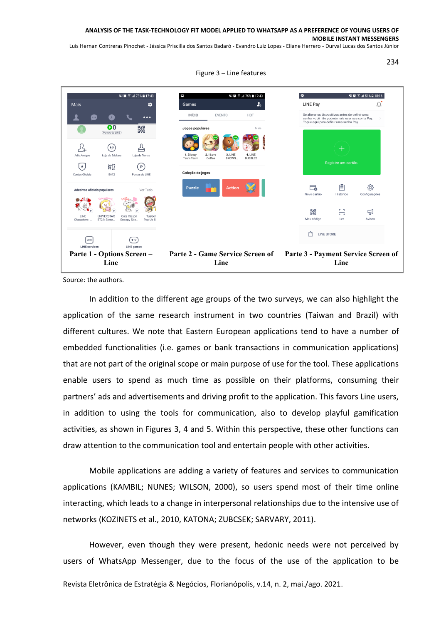Luis Hernan Contreras Pinochet - Jéssica Priscilla dos Santos Badaró - Evandro Luiz Lopes - Eliane Herrero - Durval Lucas dos Santos Júnior

¥{ @ 2 .dl 75% m 17:43 ¥8 (ই. ∡175% ≣ 17:43  $\bullet$ ¥8 1 51% 2 18:16 Mais  $\dot{\mathbf{a}}$ Games J. LINE Pay  $\triangle'$ Se alterar os dispositivos antes de definir um:<br>senha, você não poderá mais usar sua conta l<br>Toque aqui para definir uma senha Pay. **INÍCIO EVENTO** HOT  $\mathbf{r}$ ⋒ Ω  $\cdots$  $\overline{\mathbf{e}^{\,0}}$ Jogos populares 鼹 O ℒ  $(\cdot_{\circ})$ ₹ Loja de Sticker sia de Tem 3. LINE<br>BROWN 4. LINE<br>BUBBLE2 Registre um cartão  $\left( \mathbf{r} \right)$  $\bigodot$ B612 Coleção de jogos  $d_0$  | INF B612  $\Box$ 目 දුරි} Ver Tudo **Puzzle** Adesivos oficiais populares Histórico Configurações Novo cartão  $\overline{\mathbb{F}}$ 鼹 Ξ UNIVERSTAR<br>BT21: Swee... TuaGoi<br>Pop-Up S Meu códia Avisos  $\Box$  LINE STORE  $LINE$  $\bigoplus$ LINE game **LINE service Parte 1 - Options Screen – Parte 2 - Game Service Screen of Parte 3 - Payment Service Screen of Line Line Line**

Figure 3 – Line features

Source: the authors.

In addition to the different age groups of the two surveys, we can also highlight the application of the same research instrument in two countries (Taiwan and Brazil) with different cultures. We note that Eastern European applications tend to have a number of embedded functionalities (i.e. games or bank transactions in communication applications) that are not part of the original scope or main purpose of use for the tool. These applications enable users to spend as much time as possible on their platforms, consuming their partners' ads and advertisements and driving profit to the application. This favors Line users, in addition to using the tools for communication, also to develop playful gamification activities, as shown in Figures 3, 4 and 5. Within this perspective, these other functions can draw attention to the communication tool and entertain people with other activities.

Mobile applications are adding a variety of features and services to communication applications (KAMBIL; NUNES; WILSON, 2000), so users spend most of their time online interacting, which leads to a change in interpersonal relationships due to the intensive use of networks (KOZINETS et al., 2010, KATONA; ZUBCSEK; SARVARY, 2011).

Revista Eletrônica de Estratégia & Negócios, Florianópolis, v.14, n. 2, mai./ago. 2021. However, even though they were present, hedonic needs were not perceived by users of WhatsApp Messenger, due to the focus of the use of the application to be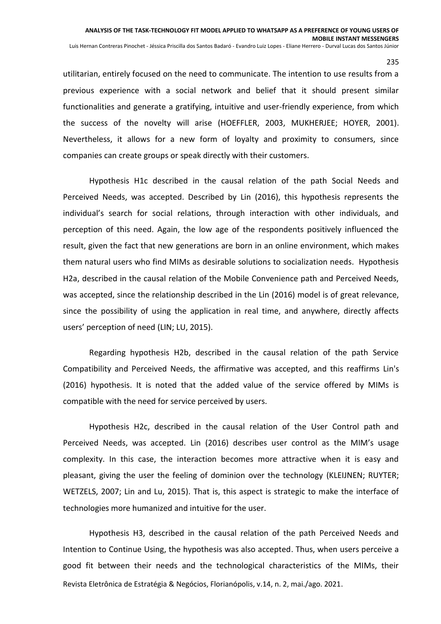utilitarian, entirely focused on the need to communicate. The intention to use results from a previous experience with a social network and belief that it should present similar functionalities and generate a gratifying, intuitive and user-friendly experience, from which the success of the novelty will arise (HOEFFLER, 2003, MUKHERJEE; HOYER, 2001). Nevertheless, it allows for a new form of loyalty and proximity to consumers, since companies can create groups or speak directly with their customers.

Hypothesis H1c described in the causal relation of the path Social Needs and Perceived Needs, was accepted. Described by Lin (2016), this hypothesis represents the individual's search for social relations, through interaction with other individuals, and perception of this need. Again, the low age of the respondents positively influenced the result, given the fact that new generations are born in an online environment, which makes them natural users who find MIMs as desirable solutions to socialization needs. Hypothesis H2a, described in the causal relation of the Mobile Convenience path and Perceived Needs, was accepted, since the relationship described in the Lin (2016) model is of great relevance, since the possibility of using the application in real time, and anywhere, directly affects users' perception of need (LIN; LU, 2015).

Regarding hypothesis H2b, described in the causal relation of the path Service Compatibility and Perceived Needs, the affirmative was accepted, and this reaffirms Lin's (2016) hypothesis. It is noted that the added value of the service offered by MIMs is compatible with the need for service perceived by users.

Hypothesis H2c, described in the causal relation of the User Control path and Perceived Needs, was accepted. Lin (2016) describes user control as the MIM's usage complexity. In this case, the interaction becomes more attractive when it is easy and pleasant, giving the user the feeling of dominion over the technology (KLEIJNEN; RUYTER; WETZELS, 2007; Lin and Lu, 2015). That is, this aspect is strategic to make the interface of technologies more humanized and intuitive for the user.

Revista Eletrônica de Estratégia & Negócios, Florianópolis, v.14, n. 2, mai./ago. 2021. Hypothesis H3, described in the causal relation of the path Perceived Needs and Intention to Continue Using, the hypothesis was also accepted. Thus, when users perceive a good fit between their needs and the technological characteristics of the MIMs, their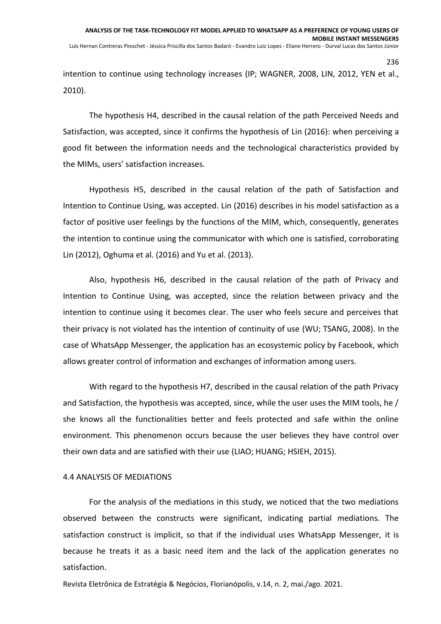intention to continue using technology increases (IP; WAGNER, 2008, LIN, 2012, YEN et al., 2010).

The hypothesis H4, described in the causal relation of the path Perceived Needs and Satisfaction, was accepted, since it confirms the hypothesis of Lin (2016): when perceiving a good fit between the information needs and the technological characteristics provided by the MIMs, users' satisfaction increases.

Hypothesis H5, described in the causal relation of the path of Satisfaction and Intention to Continue Using, was accepted. Lin (2016) describes in his model satisfaction as a factor of positive user feelings by the functions of the MIM, which, consequently, generates the intention to continue using the communicator with which one is satisfied, corroborating Lin (2012), Oghuma et al. (2016) and Yu et al. (2013).

Also, hypothesis H6, described in the causal relation of the path of Privacy and Intention to Continue Using, was accepted, since the relation between privacy and the intention to continue using it becomes clear. The user who feels secure and perceives that their privacy is not violated has the intention of continuity of use (WU; TSANG, 2008). In the case of WhatsApp Messenger, the application has an ecosystemic policy by Facebook, which allows greater control of information and exchanges of information among users.

With regard to the hypothesis H7, described in the causal relation of the path Privacy and Satisfaction, the hypothesis was accepted, since, while the user uses the MIM tools, he / she knows all the functionalities better and feels protected and safe within the online environment. This phenomenon occurs because the user believes they have control over their own data and are satisfied with their use (LIAO; HUANG; HSIEH, 2015).

#### 4.4 ANALYSIS OF MEDIATIONS

For the analysis of the mediations in this study, we noticed that the two mediations observed between the constructs were significant, indicating partial mediations. The satisfaction construct is implicit, so that if the individual uses WhatsApp Messenger, it is because he treats it as a basic need item and the lack of the application generates no satisfaction.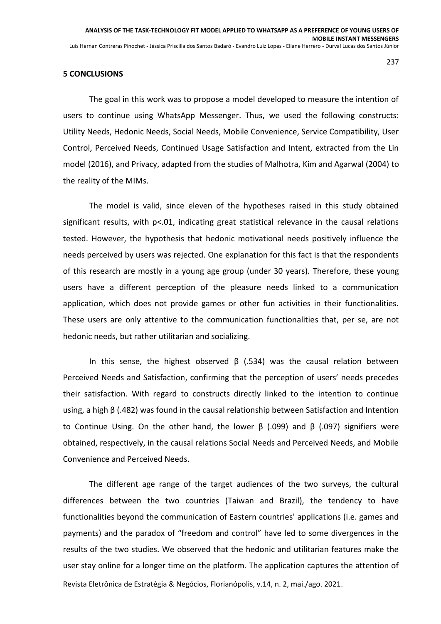#### **5 CONCLUSIONS**

The goal in this work was to propose a model developed to measure the intention of users to continue using WhatsApp Messenger. Thus, we used the following constructs: Utility Needs, Hedonic Needs, Social Needs, Mobile Convenience, Service Compatibility, User Control, Perceived Needs, Continued Usage Satisfaction and Intent, extracted from the Lin model (2016), and Privacy, adapted from the studies of Malhotra, Kim and Agarwal (2004) to the reality of the MIMs.

The model is valid, since eleven of the hypotheses raised in this study obtained significant results, with p<.01, indicating great statistical relevance in the causal relations tested. However, the hypothesis that hedonic motivational needs positively influence the needs perceived by users was rejected. One explanation for this fact is that the respondents of this research are mostly in a young age group (under 30 years). Therefore, these young users have a different perception of the pleasure needs linked to a communication application, which does not provide games or other fun activities in their functionalities. These users are only attentive to the communication functionalities that, per se, are not hedonic needs, but rather utilitarian and socializing.

In this sense, the highest observed  $\beta$  (.534) was the causal relation between Perceived Needs and Satisfaction, confirming that the perception of users' needs precedes their satisfaction. With regard to constructs directly linked to the intention to continue using, a high β (.482) was found in the causal relationship between Satisfaction and Intention to Continue Using. On the other hand, the lower  $\beta$  (.099) and  $\beta$  (.097) signifiers were obtained, respectively, in the causal relations Social Needs and Perceived Needs, and Mobile Convenience and Perceived Needs.

Revista Eletrônica de Estratégia & Negócios, Florianópolis, v.14, n. 2, mai./ago. 2021. The different age range of the target audiences of the two surveys, the cultural differences between the two countries (Taiwan and Brazil), the tendency to have functionalities beyond the communication of Eastern countries' applications (i.e. games and payments) and the paradox of "freedom and control" have led to some divergences in the results of the two studies. We observed that the hedonic and utilitarian features make the user stay online for a longer time on the platform. The application captures the attention of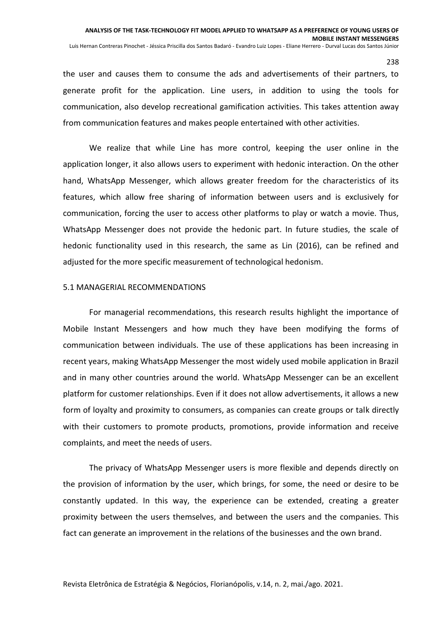the user and causes them to consume the ads and advertisements of their partners, to generate profit for the application. Line users, in addition to using the tools for communication, also develop recreational gamification activities. This takes attention away from communication features and makes people entertained with other activities.

We realize that while Line has more control, keeping the user online in the application longer, it also allows users to experiment with hedonic interaction. On the other hand, WhatsApp Messenger, which allows greater freedom for the characteristics of its features, which allow free sharing of information between users and is exclusively for communication, forcing the user to access other platforms to play or watch a movie. Thus, WhatsApp Messenger does not provide the hedonic part. In future studies, the scale of hedonic functionality used in this research, the same as Lin (2016), can be refined and adjusted for the more specific measurement of technological hedonism.

#### 5.1 MANAGERIAL RECOMMENDATIONS

For managerial recommendations, this research results highlight the importance of Mobile Instant Messengers and how much they have been modifying the forms of communication between individuals. The use of these applications has been increasing in recent years, making WhatsApp Messenger the most widely used mobile application in Brazil and in many other countries around the world. WhatsApp Messenger can be an excellent platform for customer relationships. Even if it does not allow advertisements, it allows a new form of loyalty and proximity to consumers, as companies can create groups or talk directly with their customers to promote products, promotions, provide information and receive complaints, and meet the needs of users.

The privacy of WhatsApp Messenger users is more flexible and depends directly on the provision of information by the user, which brings, for some, the need or desire to be constantly updated. In this way, the experience can be extended, creating a greater proximity between the users themselves, and between the users and the companies. This fact can generate an improvement in the relations of the businesses and the own brand.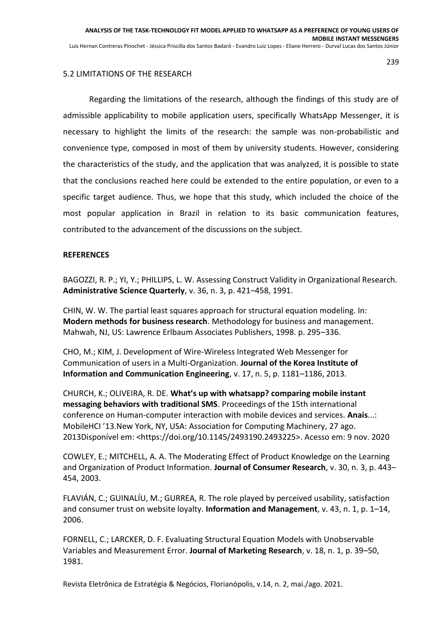## 5.2 LIMITATIONS OF THE RESEARCH

Regarding the limitations of the research, although the findings of this study are of admissible applicability to mobile application users, specifically WhatsApp Messenger, it is necessary to highlight the limits of the research: the sample was non-probabilistic and convenience type, composed in most of them by university students. However, considering the characteristics of the study, and the application that was analyzed, it is possible to state that the conclusions reached here could be extended to the entire population, or even to a specific target audience. Thus, we hope that this study, which included the choice of the most popular application in Brazil in relation to its basic communication features, contributed to the advancement of the discussions on the subject.

## **REFERENCES**

BAGOZZI, R. P.; YI, Y.; PHILLIPS, L. W. Assessing Construct Validity in Organizational Research. **Administrative Science Quarterly**, v. 36, n. 3, p. 421–458, 1991.

CHIN, W. W. The partial least squares approach for structural equation modeling. In: **Modern methods for business research**. Methodology for business and management. Mahwah, NJ, US: Lawrence Erlbaum Associates Publishers, 1998. p. 295–336.

CHO, M.; KIM, J. Development of Wire-Wireless Integrated Web Messenger for Communication of users in a Multi-Organization. **Journal of the Korea Institute of Information and Communication Engineering**, v. 17, n. 5, p. 1181–1186, 2013.

CHURCH, K.; OLIVEIRA, R. DE. **What's up with whatsapp? comparing mobile instant messaging behaviors with traditional SMS**. Proceedings of the 15th international conference on Human-computer interaction with mobile devices and services. **Anais**...: MobileHCI '13.New York, NY, USA: Association for Computing Machinery, 27 ago. 2013Disponível em: <https://doi.org/10.1145/2493190.2493225>. Acesso em: 9 nov. 2020

COWLEY, E.; MITCHELL, A. A. The Moderating Effect of Product Knowledge on the Learning and Organization of Product Information. **Journal of Consumer Research**, v. 30, n. 3, p. 443– 454, 2003.

FLAVIÁN, C.; GUINALÍU, M.; GURREA, R. The role played by perceived usability, satisfaction and consumer trust on website loyalty. **Information and Management**, v. 43, n. 1, p. 1–14, 2006.

FORNELL, C.; LARCKER, D. F. Evaluating Structural Equation Models with Unobservable Variables and Measurement Error. **Journal of Marketing Research**, v. 18, n. 1, p. 39–50, 1981.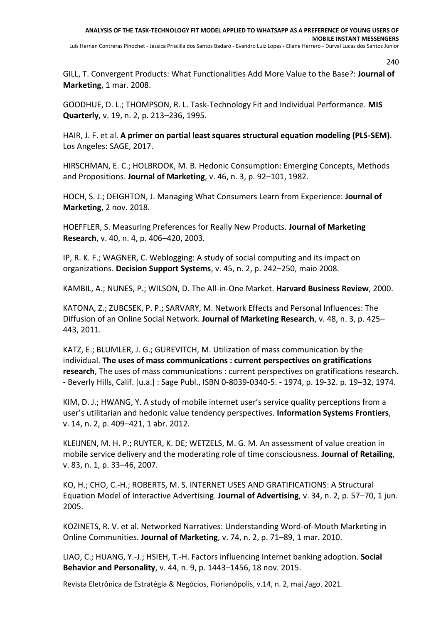GILL, T. Convergent Products: What Functionalities Add More Value to the Base?: **Journal of Marketing**, 1 mar. 2008.

GOODHUE, D. L.; THOMPSON, R. L. Task-Technology Fit and Individual Performance. **MIS Quarterly**, v. 19, n. 2, p. 213–236, 1995.

HAIR, J. F. et al. **A primer on partial least squares structural equation modeling (PLS-SEM)**. Los Angeles: SAGE, 2017.

HIRSCHMAN, E. C.; HOLBROOK, M. B. Hedonic Consumption: Emerging Concepts, Methods and Propositions. **Journal of Marketing**, v. 46, n. 3, p. 92–101, 1982.

HOCH, S. J.; DEIGHTON, J. Managing What Consumers Learn from Experience: **Journal of Marketing**, 2 nov. 2018.

HOEFFLER, S. Measuring Preferences for Really New Products. **Journal of Marketing Research**, v. 40, n. 4, p. 406–420, 2003.

IP, R. K. F.; WAGNER, C. Weblogging: A study of social computing and its impact on organizations. **Decision Support Systems**, v. 45, n. 2, p. 242–250, maio 2008.

KAMBIL, A.; NUNES, P.; WILSON, D. The All-in-One Market. **Harvard Business Review**, 2000.

KATONA, Z.; ZUBCSEK, P. P.; SARVARY, M. Network Effects and Personal Influences: The Diffusion of an Online Social Network. **Journal of Marketing Research**, v. 48, n. 3, p. 425– 443, 2011.

KATZ, E.; BLUMLER, J. G.; GUREVITCH, M. Utilization of mass communication by the individual. **The uses of mass communications : current perspectives on gratifications research**, The uses of mass communications : current perspectives on gratifications research. - Beverly Hills, Calif. [u.a.] : Sage Publ., ISBN 0-8039-0340-5. - 1974, p. 19-32. p. 19–32, 1974.

KIM, D. J.; HWANG, Y. A study of mobile internet user's service quality perceptions from a user's utilitarian and hedonic value tendency perspectives. **Information Systems Frontiers**, v. 14, n. 2, p. 409–421, 1 abr. 2012.

KLEIJNEN, M. H. P.; RUYTER, K. DE; WETZELS, M. G. M. An assessment of value creation in mobile service delivery and the moderating role of time consciousness. **Journal of Retailing**, v. 83, n. 1, p. 33–46, 2007.

KO, H.; CHO, C.-H.; ROBERTS, M. S. INTERNET USES AND GRATIFICATIONS: A Structural Equation Model of Interactive Advertising. **Journal of Advertising**, v. 34, n. 2, p. 57–70, 1 jun. 2005.

KOZINETS, R. V. et al. Networked Narratives: Understanding Word-of-Mouth Marketing in Online Communities. **Journal of Marketing**, v. 74, n. 2, p. 71–89, 1 mar. 2010.

LIAO, C.; HUANG, Y.-J.; HSIEH, T.-H. Factors influencing Internet banking adoption. **Social Behavior and Personality**, v. 44, n. 9, p. 1443–1456, 18 nov. 2015.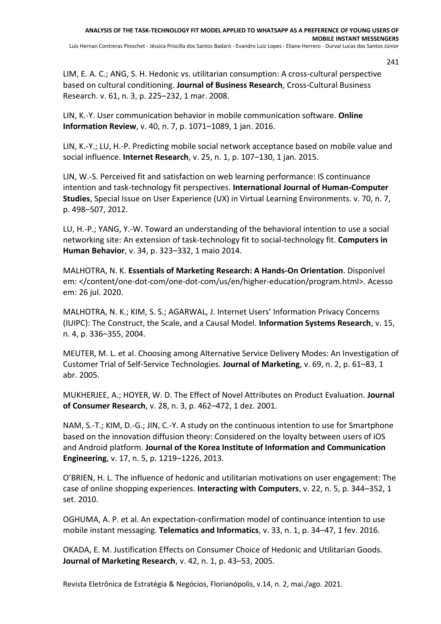LIM, E. A. C.; ANG, S. H. Hedonic vs. utilitarian consumption: A cross-cultural perspective based on cultural conditioning. **Journal of Business Research**, Cross-Cultural Business Research. v. 61, n. 3, p. 225–232, 1 mar. 2008.

LIN, K.-Y. User communication behavior in mobile communication software. **Online Information Review**, v. 40, n. 7, p. 1071–1089, 1 jan. 2016.

LIN, K.-Y.; LU, H.-P. Predicting mobile social network acceptance based on mobile value and social influence. **Internet Research**, v. 25, n. 1, p. 107–130, 1 jan. 2015.

LIN, W.-S. Perceived fit and satisfaction on web learning performance: IS continuance intention and task-technology fit perspectives. **International Journal of Human-Computer Studies**, Special Issue on User Experience (UX) in Virtual Learning Environments. v. 70, n. 7, p. 498–507, 2012.

LU, H.-P.; YANG, Y.-W. Toward an understanding of the behavioral intention to use a social networking site: An extension of task-technology fit to social-technology fit. **Computers in Human Behavior**, v. 34, p. 323–332, 1 maio 2014.

MALHOTRA, N. K. **Essentials of Marketing Research: A Hands-On Orientation**. Disponível em: </content/one-dot-com/one-dot-com/us/en/higher-education/program.html>. Acesso em: 26 jul. 2020.

MALHOTRA, N. K.; KIM, S. S.; AGARWAL, J. Internet Users' Information Privacy Concerns (IUIPC): The Construct, the Scale, and a Causal Model. **Information Systems Research**, v. 15, n. 4, p. 336–355, 2004.

MEUTER, M. L. et al. Choosing among Alternative Service Delivery Modes: An Investigation of Customer Trial of Self-Service Technologies. **Journal of Marketing**, v. 69, n. 2, p. 61–83, 1 abr. 2005.

MUKHERJEE, A.; HOYER, W. D. The Effect of Novel Attributes on Product Evaluation. **Journal of Consumer Research**, v. 28, n. 3, p. 462–472, 1 dez. 2001.

NAM, S.-T.; KIM, D.-G.; JIN, C.-Y. A study on the continuous intention to use for Smartphone based on the innovation diffusion theory: Considered on the loyalty between users of iOS and Android platform. **Journal of the Korea Institute of Information and Communication Engineering**, v. 17, n. 5, p. 1219–1226, 2013.

O'BRIEN, H. L. The influence of hedonic and utilitarian motivations on user engagement: The case of online shopping experiences. **Interacting with Computers**, v. 22, n. 5, p. 344–352, 1 set. 2010.

OGHUMA, A. P. et al. An expectation-confirmation model of continuance intention to use mobile instant messaging. **Telematics and Informatics**, v. 33, n. 1, p. 34–47, 1 fev. 2016.

OKADA, E. M. Justification Effects on Consumer Choice of Hedonic and Utilitarian Goods. **Journal of Marketing Research**, v. 42, n. 1, p. 43–53, 2005.

Revista Eletrônica de Estratégia & Negócios, Florianópolis, v.14, n. 2, mai./ago. 2021.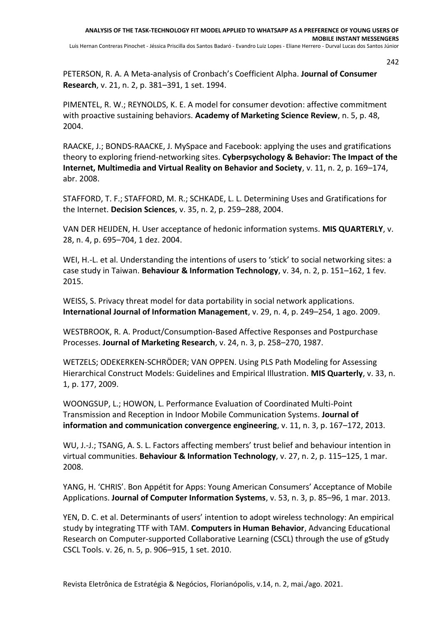PETERSON, R. A. A Meta-analysis of Cronbach's Coefficient Alpha. **Journal of Consumer Research**, v. 21, n. 2, p. 381–391, 1 set. 1994.

PIMENTEL, R. W.; REYNOLDS, K. E. A model for consumer devotion: affective commitment with proactive sustaining behaviors. **Academy of Marketing Science Review**, n. 5, p. 48, 2004.

RAACKE, J.; BONDS-RAACKE, J. MySpace and Facebook: applying the uses and gratifications theory to exploring friend-networking sites. **Cyberpsychology & Behavior: The Impact of the Internet, Multimedia and Virtual Reality on Behavior and Society**, v. 11, n. 2, p. 169–174, abr. 2008.

STAFFORD, T. F.; STAFFORD, M. R.; SCHKADE, L. L. Determining Uses and Gratifications for the Internet. **Decision Sciences**, v. 35, n. 2, p. 259–288, 2004.

VAN DER HEIJDEN, H. User acceptance of hedonic information systems. **MIS QUARTERLY**, v. 28, n. 4, p. 695–704, 1 dez. 2004.

WEI, H.-L. et al. Understanding the intentions of users to 'stick' to social networking sites: a case study in Taiwan. **Behaviour & Information Technology**, v. 34, n. 2, p. 151–162, 1 fev. 2015.

WEISS, S. Privacy threat model for data portability in social network applications. **International Journal of Information Management**, v. 29, n. 4, p. 249–254, 1 ago. 2009.

WESTBROOK, R. A. Product/Consumption-Based Affective Responses and Postpurchase Processes. **Journal of Marketing Research**, v. 24, n. 3, p. 258–270, 1987.

WETZELS; ODEKERKEN-SCHRÖDER; VAN OPPEN. Using PLS Path Modeling for Assessing Hierarchical Construct Models: Guidelines and Empirical Illustration. **MIS Quarterly**, v. 33, n. 1, p. 177, 2009.

WOONGSUP, L.; HOWON, L. Performance Evaluation of Coordinated Multi-Point Transmission and Reception in Indoor Mobile Communication Systems. **Journal of information and communication convergence engineering**, v. 11, n. 3, p. 167–172, 2013.

WU, J.-J.; TSANG, A. S. L. Factors affecting members' trust belief and behaviour intention in virtual communities. **Behaviour & Information Technology**, v. 27, n. 2, p. 115–125, 1 mar. 2008.

YANG, H. 'CHRIS'. Bon Appétit for Apps: Young American Consumers' Acceptance of Mobile Applications. **Journal of Computer Information Systems**, v. 53, n. 3, p. 85–96, 1 mar. 2013.

YEN, D. C. et al. Determinants of users' intention to adopt wireless technology: An empirical study by integrating TTF with TAM. **Computers in Human Behavior**, Advancing Educational Research on Computer-supported Collaborative Learning (CSCL) through the use of gStudy CSCL Tools. v. 26, n. 5, p. 906–915, 1 set. 2010.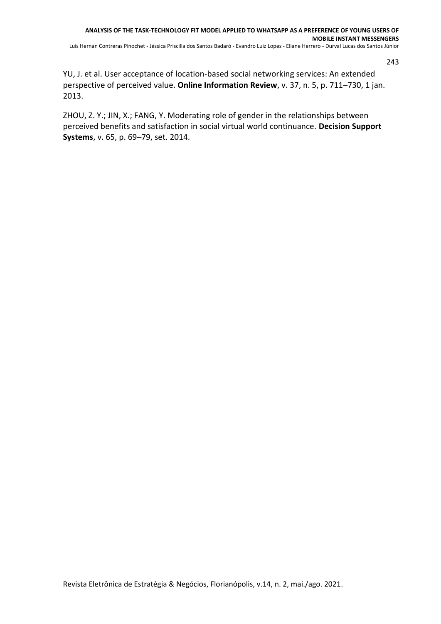YU, J. et al. User acceptance of location-based social networking services: An extended perspective of perceived value. **Online Information Review**, v. 37, n. 5, p. 711–730, 1 jan. 2013.

ZHOU, Z. Y.; JIN, X.; FANG, Y. Moderating role of gender in the relationships between perceived benefits and satisfaction in social virtual world continuance. **Decision Support Systems**, v. 65, p. 69–79, set. 2014.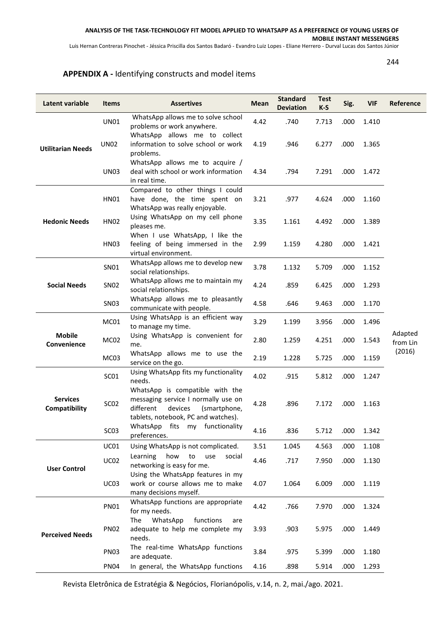Luis Hernan Contreras Pinochet - Jéssica Priscilla dos Santos Badaró - Evandro Luiz Lopes - Eliane Herrero - Durval Lucas dos Santos Júnior

244

## **APPENDIX A -** Identifying constructs and model items

| Latent variable                  | <b>Items</b>     | <b>Assertives</b>                                                                                                                                     | Mean | <b>Standard</b><br><b>Deviation</b> | <b>Test</b><br>$K-S$ | Sig. | <b>VIF</b> | Reference           |
|----------------------------------|------------------|-------------------------------------------------------------------------------------------------------------------------------------------------------|------|-------------------------------------|----------------------|------|------------|---------------------|
|                                  | <b>UN01</b>      | WhatsApp allows me to solve school<br>problems or work anywhere.                                                                                      | 4.42 | .740                                | 7.713                | .000 | 1.410      |                     |
| <b>Utilitarian Needs</b>         | <b>UN02</b>      | WhatsApp allows me to collect<br>information to solve school or work<br>problems.                                                                     | 4.19 | .946                                | 6.277                | .000 | 1.365      |                     |
|                                  | <b>UN03</b>      | WhatsApp allows me to acquire /<br>deal with school or work information<br>in real time.                                                              | 4.34 | .794                                | 7.291                | .000 | 1.472      |                     |
|                                  | <b>HN01</b>      | Compared to other things I could<br>have done, the time spent on<br>WhatsApp was really enjoyable.                                                    | 3.21 | .977                                | 4.624                | .000 | 1.160      |                     |
| <b>Hedonic Needs</b>             | <b>HN02</b>      | Using WhatsApp on my cell phone<br>pleases me.                                                                                                        | 3.35 | 1.161                               | 4.492                | .000 | 1.389      |                     |
|                                  | <b>HN03</b>      | When I use WhatsApp, I like the<br>feeling of being immersed in the<br>virtual environment.                                                           | 2.99 | 1.159                               | 4.280                | .000 | 1.421      |                     |
|                                  | SN01             | WhatsApp allows me to develop new<br>social relationships.                                                                                            | 3.78 | 1.132                               | 5.709                | .000 | 1.152      |                     |
| <b>Social Needs</b>              | <b>SN02</b>      | WhatsApp allows me to maintain my<br>social relationships.                                                                                            | 4.24 | .859                                | 6.425                | .000 | 1.293      |                     |
|                                  | <b>SN03</b>      | WhatsApp allows me to pleasantly<br>communicate with people.                                                                                          | 4.58 | .646                                | 9.463                | .000 | 1.170      |                     |
| <b>Mobile</b><br>Convenience     | MC01             | Using WhatsApp is an efficient way<br>to manage my time.                                                                                              | 3.29 | 1.199                               | 3.956                | .000 | 1.496      |                     |
|                                  | MC02             | Using WhatsApp is convenient for<br>me.                                                                                                               | 2.80 | 1.259                               | 4.251                | .000 | 1.543      | Adapted<br>from Lin |
|                                  | MC03             | WhatsApp allows me to use the<br>service on the go.                                                                                                   | 2.19 | 1.228                               | 5.725                | .000 | 1.159      | (2016)              |
|                                  | SC01             | Using WhatsApp fits my functionality<br>needs.                                                                                                        | 4.02 | .915                                | 5.812                | .000 | 1.247      |                     |
| <b>Services</b><br>Compatibility | SC <sub>02</sub> | WhatsApp is compatible with the<br>messaging service I normally use on<br>different<br>devices<br>(smartphone,<br>tablets, notebook, PC and watches). | 4.28 | .896                                | 7.172                | .000 | 1.163      |                     |
|                                  | SC <sub>03</sub> | my functionality<br>WhatsApp fits<br>preferences.                                                                                                     | 4.16 | .836                                | 5.712                | .000 | 1.342      |                     |
|                                  | UC01             | Using WhatsApp is not complicated.                                                                                                                    | 3.51 | 1.045                               | 4.563                | .000 | 1.108      |                     |
| <b>User Control</b>              | <b>UC02</b>      | how<br>Learning<br>to<br>use<br>social<br>networking is easy for me.                                                                                  | 4.46 | .717                                | 7.950                | .000 | 1.130      |                     |
|                                  | <b>UC03</b>      | Using the WhatsApp features in my<br>work or course allows me to make<br>many decisions myself.                                                       | 4.07 | 1.064                               | 6.009                | .000 | 1.119      |                     |
| <b>Perceived Needs</b>           | <b>PN01</b>      | WhatsApp functions are appropriate<br>for my needs.                                                                                                   | 4.42 | .766                                | 7.970                | .000 | 1.324      |                     |
|                                  | <b>PN02</b>      | WhatsApp<br>The<br>functions<br>are<br>adequate to help me complete my<br>needs.                                                                      | 3.93 | .903                                | 5.975                | .000 | 1.449      |                     |
|                                  | <b>PN03</b>      | The real-time WhatsApp functions<br>are adequate.                                                                                                     | 3.84 | .975                                | 5.399                | .000 | 1.180      |                     |
|                                  | <b>PN04</b>      | In general, the WhatsApp functions                                                                                                                    | 4.16 | .898                                | 5.914                | .000 | 1.293      |                     |